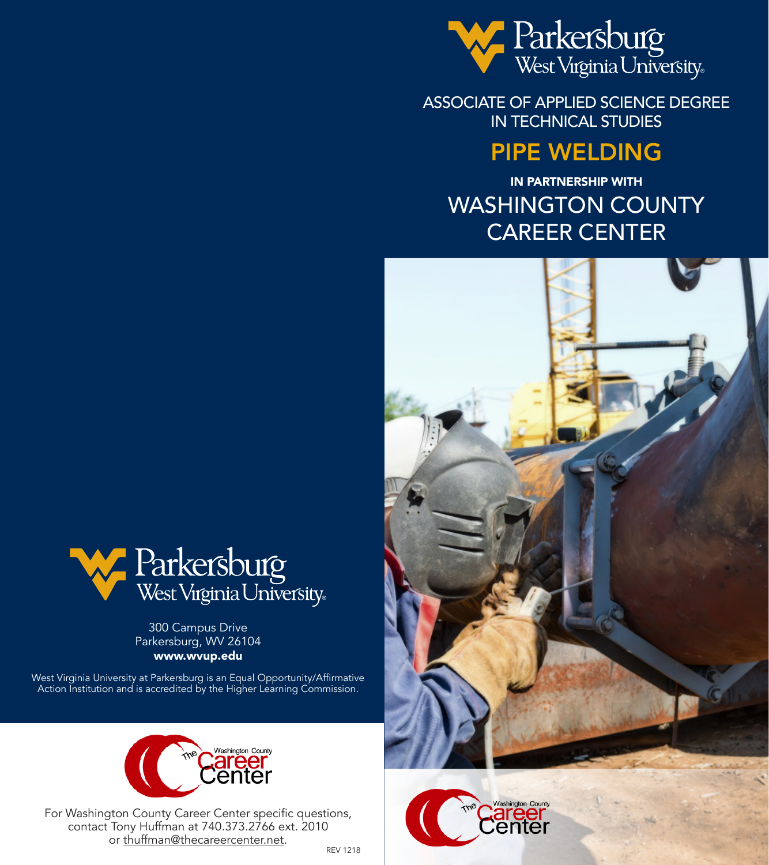

ASSOCIATE OF APPLIED SCIENCE DEGREE IN TECHNICAL STUDIES

# PIPE WELDING

IN PARTNERSHIP WITH WASHINGTON COUNTY CAREER CENTER







300 Campus Drive Parkersburg, WV 26104 www.wvup.edu

West Virginia University at Parkersburg is an Equal Opportunity/Affirmative Action Institution and is accredited by the Higher Learning Commission.



For Washington County Career Center specific questions, contact Tony Huffman at 740.373.2766 ext. 2010 or thuffman@thecareercenter.net.